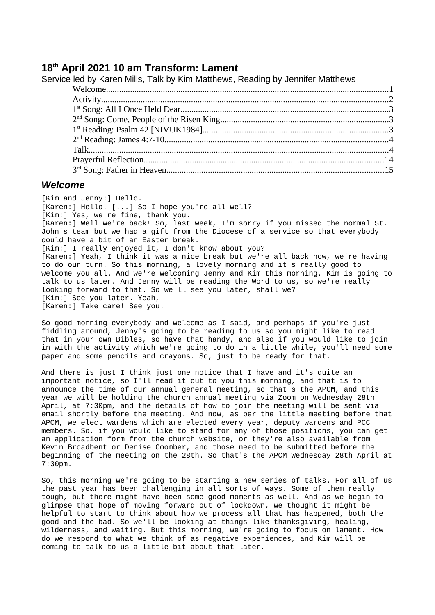## **18 th April 2021 10 am Transform: Lament**

| Service led by Karen Mills, Talk by Kim Matthews, Reading by Jennifer Matthews |  |
|--------------------------------------------------------------------------------|--|
|                                                                                |  |
|                                                                                |  |
|                                                                                |  |
|                                                                                |  |
|                                                                                |  |
|                                                                                |  |
|                                                                                |  |
|                                                                                |  |
|                                                                                |  |

#### <span id="page-0-0"></span>*Welcome*

[Kim and Jenny:] Hello. [Karen:] Hello. [...] So I hope you're all well? [Kim:] Yes, we're fine, thank you. [Karen:] Well we're back! So, last week, I'm sorry if you missed the normal St. John's team but we had a gift from the Diocese of a service so that everybody could have a bit of an Easter break. [Kim:] I really enjoyed it, I don't know about you? [Karen:] Yeah, I think it was a nice break but we're all back now, we're having to do our turn. So this morning, a lovely morning and it's really good to welcome you all. And we're welcoming Jenny and Kim this morning. Kim is going to talk to us later. And Jenny will be reading the Word to us, so we're really looking forward to that. So we'll see you later, shall we? [Kim:] See you later. Yeah, [Karen:] Take care! See you.

So good morning everybody and welcome as I said, and perhaps if you're just fiddling around, Jenny's going to be reading to us so you might like to read that in your own Bibles, so have that handy, and also if you would like to join in with the activity which we're going to do in a little while, you'll need some paper and some pencils and crayons. So, just to be ready for that.

And there is just I think just one notice that I have and it's quite an important notice, so I'll read it out to you this morning, and that is to announce the time of our annual general meeting, so that's the APCM, and this year we will be holding the church annual meeting via Zoom on Wednesday 28th April, at 7:30pm, and the details of how to join the meeting will be sent via email shortly before the meeting. And now, as per the little meeting before that APCM, we elect wardens which are elected every year, deputy wardens and PCC members. So, if you would like to stand for any of those positions, you can get an application form from the church website, or they're also available from Kevin Broadbent or Denise Coomber, and those need to be submitted before the beginning of the meeting on the 28th. So that's the APCM Wednesday 28th April at 7:30pm.

So, this morning we're going to be starting a new series of talks. For all of us the past year has been challenging in all sorts of ways. Some of them really tough, but there might have been some good moments as well. And as we begin to glimpse that hope of moving forward out of lockdown, we thought it might be helpful to start to think about how we process all that has happened, both the good and the bad. So we'll be looking at things like thanksgiving, healing, wilderness, and waiting. But this morning, we're going to focus on lament. How do we respond to what we think of as negative experiences, and Kim will be coming to talk to us a little bit about that later.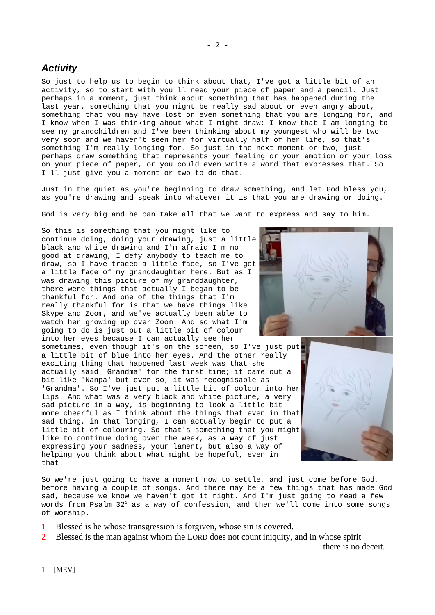## <span id="page-1-0"></span>*Activity*

So just to help us to begin to think about that, I've got a little bit of an activity, so to start with you'll need your piece of paper and a pencil. Just perhaps in a moment, just think about something that has happened during the last year, something that you might be really sad about or even angry about, something that you may have lost or even something that you are longing for, and I know when I was thinking about what I might draw: I know that I am longing to see my grandchildren and I've been thinking about my youngest who will be two very soon and we haven't seen her for virtually half of her life, so that's something I'm really longing for. So just in the next moment or two, just perhaps draw something that represents your feeling or your emotion or your loss on your piece of paper, or you could even write a word that expresses that. So I'll just give you a moment or two to do that.

Just in the quiet as you're beginning to draw something, and let God bless you, as you're drawing and speak into whatever it is that you are drawing or doing.

God is very big and he can take all that we want to express and say to him.

So this is something that you might like to continue doing, doing your drawing, just a little black and white drawing and I'm afraid I'm no good at drawing, I defy anybody to teach me to draw, so I have traced a little face, so I've got a little face of my granddaughter here. But as I was drawing this picture of my granddaughter, there were things that actually I began to be thankful for. And one of the things that I'm really thankful for is that we have things like Skype and Zoom, and we've actually been able to watch her growing up over Zoom. And so what I'm going to do is just put a little bit of colour into her eyes because I can actually see her sometimes, even though it's on the screen, so I've just put a little bit of blue into her eyes. And the other really exciting thing that happened last week was that she actually said 'Grandma' for the first time; it came out a bit like 'Nanpa' but even so, it was recognisable as 'Grandma'. So I've just put a little bit of colour into her lips. And what was a very black and white picture, a very sad picture in a way, is beginning to look a little bit more cheerful as I think about the things that even in that sad thing, in that longing, I can actually begin to put a little bit of colouring. So that's something that you might like to continue doing over the week, as a way of just expressing your sadness, your lament, but also a way of helping you think about what might be hopeful, even in that.



So we're just going to have a moment now to settle, and just come before God, before having a couple of songs. And there may be a few things that has made God sad, because we know we haven't got it right. And I'm just going to read a few words from Psalm 32 $^{\rm t}$  as a way of confession, and then we'll come into some songs of worship.

- 1 Blessed is he whose transgression is forgiven, whose sin is covered.
- <span id="page-1-1"></span>2 Blessed is the man against whom the LORD does not count iniquity, and in whose spirit

there is no deceit.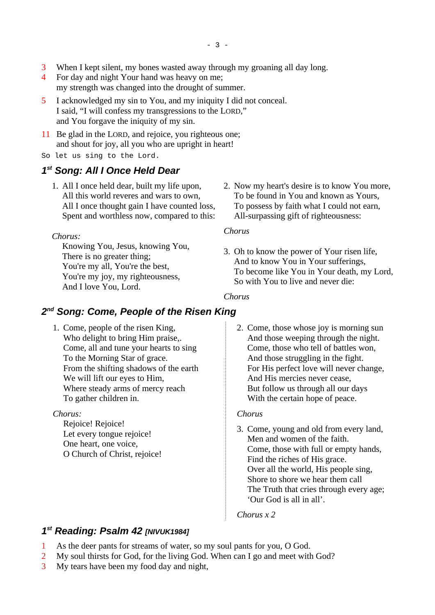- 3 When I kept silent, my bones wasted away through my groaning all day long.
- 4 For day and night Your hand was heavy on me; my strength was changed into the drought of summer.
- 5 I acknowledged my sin to You, and my iniquity I did not conceal. I said, "I will confess my transgressions to the LORD," and You forgave the iniquity of my sin.
- 11 Be glad in the LORD, and rejoice, you righteous one; and shout for joy, all you who are upright in heart!
- So let us sing to the Lord.

## <span id="page-2-0"></span>*1 st Song: All I Once Held Dear*

1. All I once held dear, built my life upon, All this world reveres and wars to own, All I once thought gain I have counted loss, Spent and worthless now, compared to this:

#### *Chorus:*

Knowing You, Jesus, knowing You, There is no greater thing; You're my all, You're the best, You're my joy, my righteousness, And I love You, Lord.

2. Now my heart's desire is to know You more, To be found in You and known as Yours, To possess by faith what I could not earn, All-surpassing gift of righteousness:

#### *Chorus*

3. Oh to know the power of Your risen life, And to know You in Your sufferings, To become like You in Your death, my Lord, So with You to live and never die:

#### *Chorus*

## <span id="page-2-2"></span>*2 nd Song: Come, People of the Risen King*

1. Come, people of the risen King, Who delight to bring Him praise,. Come, all and tune your hearts to sing To the Morning Star of grace. From the shifting shadows of the earth We will lift our eyes to Him, Where steady arms of mercy reach To gather children in.

### *Chorus:*

Rejoice! Rejoice! Let every tongue rejoice! One heart, one voice, O Church of Christ, rejoice! 2. Come, those whose joy is morning sun And those weeping through the night. Come, those who tell of battles won, And those struggling in the fight. For His perfect love will never change, And His mercies never cease, But follow us through all our days With the certain hope of peace.

### *Chorus*

3. Come, young and old from every land, Men and women of the faith. Come, those with full or empty hands, Find the riches of His grace. Over all the world, His people sing, Shore to shore we hear them call The Truth that cries through every age; 'Our God is all in all'.

*Chorus x 2*

## <span id="page-2-1"></span>*1 st Reading: Psalm 42 [NIVUK1984]*

- 1 As the deer pants for streams of water, so my soul pants for you, O God.
- 2 My soul thirsts for God, for the living God. When can I go and meet with God?
- 3 My tears have been my food day and night,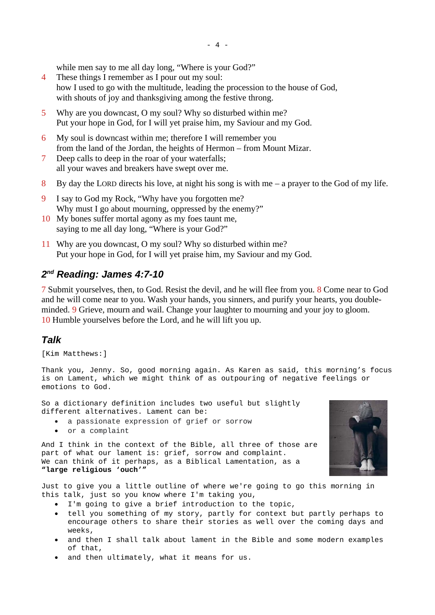while men say to me all day long, "Where is your God?"

- 4 These things I remember as I pour out my soul: how I used to go with the multitude, leading the procession to the house of God, with shouts of joy and thanksgiving among the festive throng.
- 5 Why are you downcast, O my soul? Why so disturbed within me? Put your hope in God, for I will yet praise him, my Saviour and my God.
- 6 My soul is downcast within me; therefore I will remember you from the land of the Jordan, the heights of Hermon – from Mount Mizar.
- 7 Deep calls to deep in the roar of your waterfalls; all your waves and breakers have swept over me.
- 8 By day the LORD directs his love, at night his song is with me  $-$  a prayer to the God of my life.
- 9 I say to God my Rock, "Why have you forgotten me? Why must I go about mourning, oppressed by the enemy?"
- 10 My bones suffer mortal agony as my foes taunt me, saying to me all day long, "Where is your God?"
- 11 Why are you downcast, O my soul? Why so disturbed within me? Put your hope in God, for I will yet praise him, my Saviour and my God.

# <span id="page-3-1"></span>*2 nd Reading: James 4:7-10*

7 Submit yourselves, then, to God. Resist the devil, and he will flee from you. 8 Come near to God and he will come near to you. Wash your hands, you sinners, and purify your hearts, you doubleminded. 9 Grieve, mourn and wail. Change your laughter to mourning and your joy to gloom. 10 Humble yourselves before the Lord, and he will lift you up.

## <span id="page-3-0"></span>*Talk*

[Kim Matthews:]

Thank you, Jenny. So, good morning again. As Karen as said, this morning's focus is on Lament, which we might think of as outpouring of negative feelings or emotions to God.

So a dictionary definition includes two useful but slightly different alternatives. Lament can be:

- a passionate expression of grief or sorrow
- or a complaint

And I think in the context of the Bible, all three of those are part of what our lament is: grief, sorrow and complaint. We can think of it perhaps, as a Biblical Lamentation, as a **"large religious 'ouch'"**



Just to give you a little outline of where we're going to go this morning in this talk, just so you know where I'm taking you,

- I'm going to give a brief introduction to the topic,
- tell you something of my story, partly for context but partly perhaps to encourage others to share their stories as well over the coming days and weeks,
- and then I shall talk about lament in the Bible and some modern examples of that,
- and then ultimately, what it means for us.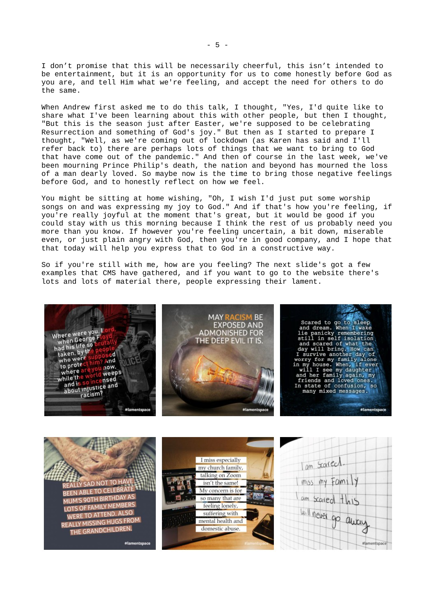I don't promise that this will be necessarily cheerful, this isn't intended to be entertainment, but it is an opportunity for us to come honestly before God as you are, and tell Him what we're feeling, and accept the need for others to do the same.

When Andrew first asked me to do this talk, I thought, "Yes, I'd quite like to share what I've been learning about this with other people, but then I thought, "But this is the season just after Easter, we're supposed to be celebrating Resurrection and something of God's joy." But then as I started to prepare I thought, "Well, as we're coming out of lockdown (as Karen has said and I'll refer back to) there are perhaps lots of things that we want to bring to God that have come out of the pandemic." And then of course in the last week, we've been mourning Prince Philip's death, the nation and beyond has mourned the loss of a man dearly loved. So maybe now is the time to bring those negative feelings before God, and to honestly reflect on how we feel.

You might be sitting at home wishing, "Oh, I wish I'd just put some worship songs on and was expressing my joy to God." And if that's how you're feeling, if you're really joyful at the moment that's great, but it would be good if you could stay with us this morning because I think the rest of us probably need you more than you know. If however you're feeling uncertain, a bit down, miserable even, or just plain angry with God, then you're in good company, and I hope that that today will help you express that to God in a constructive way.

So if you're still with me, how are you feeling? The next slide's got a few examples that CMS have gathered, and if you want to go to the website there's lots and lots of material there, people expressing their lament.



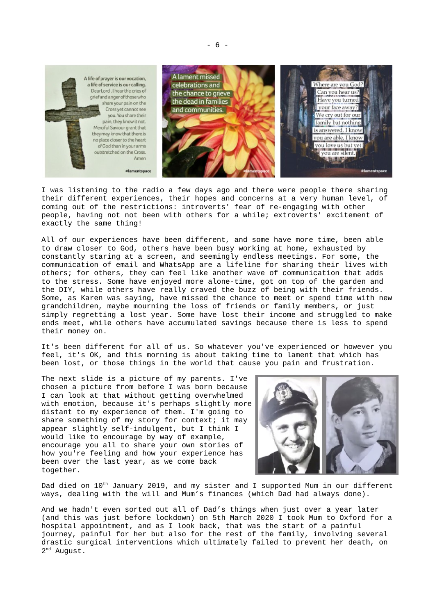

I was listening to the radio a few days ago and there were people there sharing their different experiences, their hopes and concerns at a very human level, of coming out of the restrictions: introverts' fear of re-engaging with other people, having not not been with others for a while; extroverts' excitement of exactly the same thing!

All of our experiences have been different, and some have more time, been able to draw closer to God, others have been busy working at home, exhausted by constantly staring at a screen, and seemingly endless meetings. For some, the communication of email and WhatsApp are a lifeline for sharing their lives with others; for others, they can feel like another wave of communication that adds to the stress. Some have enjoyed more alone-time, got on top of the garden and the DIY, while others have really craved the buzz of being with their friends. Some, as Karen was saying, have missed the chance to meet or spend time with new grandchildren, maybe mourning the loss of friends or family members, or just simply regretting a lost year. Some have lost their income and struggled to make ends meet, while others have accumulated savings because there is less to spend their money on.

It's been different for all of us. So whatever you've experienced or however you feel, it's OK, and this morning is about taking time to lament that which has been lost, or those things in the world that cause you pain and frustration.

The next slide is a picture of my parents. I've chosen a picture from before I was born because I can look at that without getting overwhelmed with emotion, because it's perhaps slightly more distant to my experience of them. I'm going to share something of my story for context; it may appear slightly self-indulgent, but I think I would like to encourage by way of example, encourage you all to share your own stories of how you're feeling and how your experience has been over the last year, as we come back together.



Dad died on 10<sup>th</sup> January 2019, and my sister and I supported Mum in our different ways, dealing with the will and Mum's finances (which Dad had always done).

And we hadn't even sorted out all of Dad's things when just over a year later (and this was just before lockdown) on 5th March 2020 I took Mum to Oxford for a hospital appointment, and as I look back, that was the start of a painful journey, painful for her but also for the rest of the family, involving several drastic surgical interventions which ultimately failed to prevent her death, on 2<sup>nd</sup> August.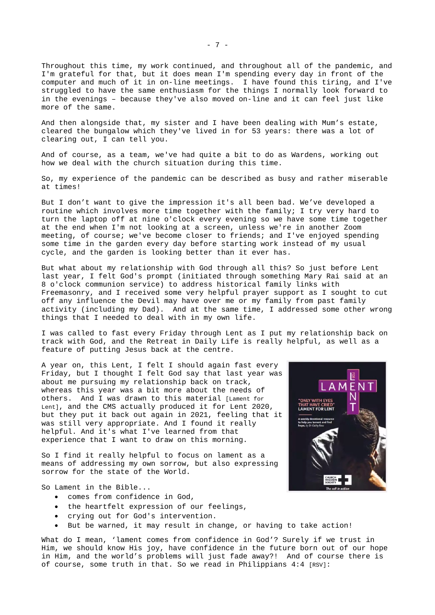Throughout this time, my work continued, and throughout all of the pandemic, and I'm grateful for that, but it does mean I'm spending every day in front of the computer and much of it in on-line meetings. I have found this tiring, and I've struggled to have the same enthusiasm for the things I normally look forward to in the evenings – because they've also moved on-line and it can feel just like more of the same.

And then alongside that, my sister and I have been dealing with Mum's estate, cleared the bungalow which they've lived in for 53 years: there was a lot of clearing out, I can tell you.

And of course, as a team, we've had quite a bit to do as Wardens, working out how we deal with the church situation during this time.

So, my experience of the pandemic can be described as busy and rather miserable at times!

But I don't want to give the impression it's all been bad. We've developed a routine which involves more time together with the family; I try very hard to turn the laptop off at nine o'clock every evening so we have some time together at the end when I'm not looking at a screen, unless we're in another Zoom meeting, of course; we've become closer to friends; and I've enjoyed spending some time in the garden every day before starting work instead of my usual cycle, and the garden is looking better than it ever has.

But what about my relationship with God through all this? So just before Lent last year, I felt God's prompt (initiated through something Mary Rai said at an 8 o'clock communion service) to address historical family links with Freemasonry, and I received some very helpful prayer support as I sought to cut off any influence the Devil may have over me or my family from past family activity (including my Dad). And at the same time, I addressed some other wrong things that I needed to deal with in my own life.

I was called to fast every Friday through Lent as I put my relationship back on track with God, and the Retreat in Daily Life is really helpful, as well as a feature of putting Jesus back at the centre.

A year on, this Lent, I felt I should again fast every Friday, but I thought I felt God say that last year was about me pursuing my relationship back on track, whereas this year was a bit more about the needs of others. And I was drawn to this material [Lament for Lent], and the CMS actually produced it for Lent 2020, but they put it back out again in 2021, feeling that it was still very appropriate. And I found it really helpful. And it's what I've learned from that experience that I want to draw on this morning.

So I find it really helpful to focus on lament as a means of addressing my own sorrow, but also expressing sorrow for the state of the World.

So Lament in the Bible...

- comes from confidence in God,
- the heartfelt expression of our feelings,
- crying out for God's intervention.
- But be warned, it may result in change, or having to take action!

What do I mean, 'lament comes from confidence in God'? Surely if we trust in Him, we should know His joy, have confidence in the future born out of our hope in Him, and the world's problems will just fade away?! And of course there is of course, some truth in that. So we read in Philippians  $4:4$  [RSV]:



- 7 -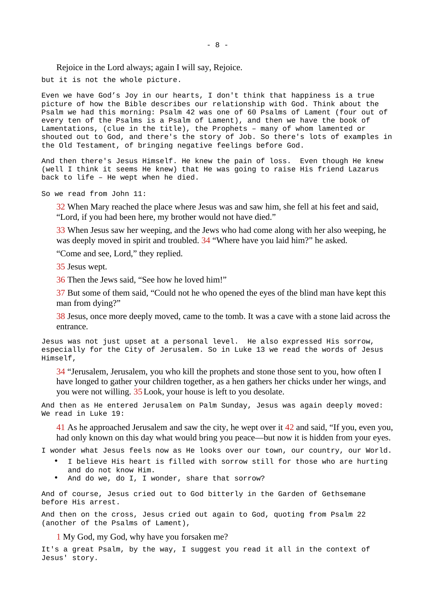Rejoice in the Lord always; again I will say, Rejoice.

but it is not the whole picture.

Even we have God's Joy in our hearts, I don't think that happiness is a true picture of how the Bible describes our relationship with God. Think about the Psalm we had this morning: Psalm 42 was one of 60 Psalms of Lament (four out of every ten of the Psalms is a Psalm of Lament), and then we have the book of Lamentations, (clue in the title), the Prophets – many of whom lamented or shouted out to God, and there's the story of Job. So there's lots of examples in the Old Testament, of bringing negative feelings before God.

And then there's Jesus Himself. He knew the pain of loss. Even though He knew (well I think it seems He knew) that He was going to raise His friend Lazarus back to life – He wept when he died.

So we read from John 11:

32 When Mary reached the place where Jesus was and saw him, she fell at his feet and said, "Lord, if you had been here, my brother would not have died."

33 When Jesus saw her weeping, and the Jews who had come along with her also weeping, he was deeply moved in spirit and troubled. 34 "Where have you laid him?" he asked.

"Come and see, Lord," they replied.

35 Jesus wept.

36 Then the Jews said, "See how he loved him!"

37 But some of them said, "Could not he who opened the eyes of the blind man have kept this man from dying?"

38 Jesus, once more deeply moved, came to the tomb. It was a cave with a stone laid across the entrance.

Jesus was not just upset at a personal level. He also expressed His sorrow, especially for the City of Jerusalem. So in Luke 13 we read the words of Jesus Himself,

34 "Jerusalem, Jerusalem, you who kill the prophets and stone those sent to you, how often I have longed to gather your children together, as a hen gathers her chicks under her wings, and you were not willing. 35Look, your house is left to you desolate.

And then as He entered Jerusalem on Palm Sunday, Jesus was again deeply moved: We read in Luke 19:

41 As he approached Jerusalem and saw the city, he wept over it 42 and said, "If you, even you, had only known on this day what would bring you peace—but now it is hidden from your eyes.

I wonder what Jesus feels now as He looks over our town, our country, our World.

- I believe His heart is filled with sorrow still for those who are hurting and do not know Him.
- And do we, do I, I wonder, share that sorrow?

And of course, Jesus cried out to God bitterly in the Garden of Gethsemane before His arrest.

And then on the cross, Jesus cried out again to God, quoting from Psalm 22 (another of the Psalms of Lament),

1 My God, my God, why have you forsaken me?

It's a great Psalm, by the way, I suggest you read it all in the context of Jesus' story.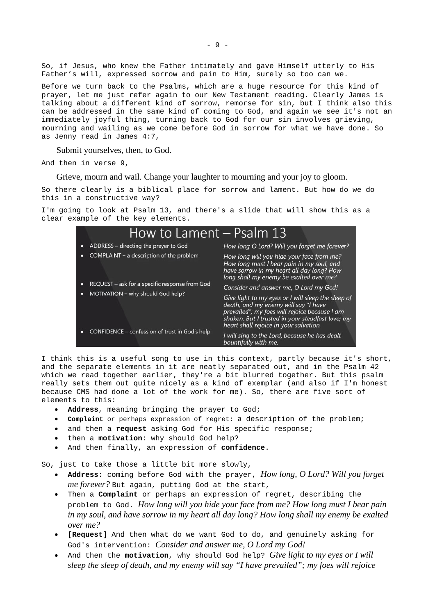So, if Jesus, who knew the Father intimately and gave Himself utterly to His Father's will, expressed sorrow and pain to Him, surely so too can we.

Before we turn back to the Psalms, which are a huge resource for this kind of prayer, let me just refer again to our New Testament reading. Clearly James is talking about a different kind of sorrow, remorse for sin, but I think also this can be addressed in the same kind of coming to God, and again we see it's not an immediately joyful thing, turning back to God for our sin involves grieving, mourning and wailing as we come before God in sorrow for what we have done. So as Jenny read in James 4:7,

Submit yourselves, then, to God.

And then in verse 9,

Grieve, mourn and wail. Change your laughter to mourning and your joy to gloom.

So there clearly is a biblical place for sorrow and lament. But how do we do this in a constructive way?

I'm going to look at Psalm 13, and there's a slide that will show this as a clear example of the key elements.

| How to Lament – Psalm 13                       |                                                                                                                                                                                                                                           |
|------------------------------------------------|-------------------------------------------------------------------------------------------------------------------------------------------------------------------------------------------------------------------------------------------|
| ADDRESS - directing the prayer to God          | How long O Lord? Will you forget me forever?                                                                                                                                                                                              |
| COMPLAINT - a description of the problem       | How long will you hide your face from me?<br>How long must I bear pain in my soul, and<br>have sorrow in my heart all day long? How<br>long shall my enemy be exalted over me?                                                            |
| REQUEST - ask for a specific response from God | Consider and answer me, O Lord my God!                                                                                                                                                                                                    |
| MOTIVATION - why should God help?              | Give light to my eyes or I will sleep the sleep of<br>death, and my enemy will say "I have<br>prevailed"; my foes will rejoice because I am<br>shaken. But I trusted in your steadfast love; my<br>heart shall rejoice in your salvation. |
| CONFIDENCE - confession of trust in God's help | I will sing to the Lord, because he has dealt<br>bountifully with me.                                                                                                                                                                     |

I think this is a useful song to use in this context, partly because it's short, and the separate elements in it are neatly separated out, and in the Psalm 42 which we read together earlier, they're a bit blurred together. But this psalm really sets them out quite nicely as a kind of exemplar (and also if I'm honest because CMS had done a lot of the work for me). So, there are five sort of elements to this:

- **Address**, meaning bringing the prayer to God;
- **Complaint** or perhaps expression of regret: a description of the problem;
- and then a **request** asking God for His specific response;
- then a **motivation**: why should God help?
- And then finally, an expression of **confidence**.

So, just to take those a little bit more slowly,

- **Address:** coming before God with the prayer, *How long, O Lord? Will you forget me forever?* But again, putting God at the start,
- Then a **Complaint** or perhaps an expression of regret, describing the problem to God. *How long will you hide your face from me? How long must I bear pain in my soul, and have sorrow in my heart all day long? How long shall my enemy be exalted over me?*
- **[Request]** And then what do we want God to do, and genuinely asking for God's intervention: *Consider and answer me, O Lord my God!*
- And then the **motivation**, why should God help? *Give light to my eyes or I will sleep the sleep of death, and my enemy will say "I have prevailed"; my foes will rejoice*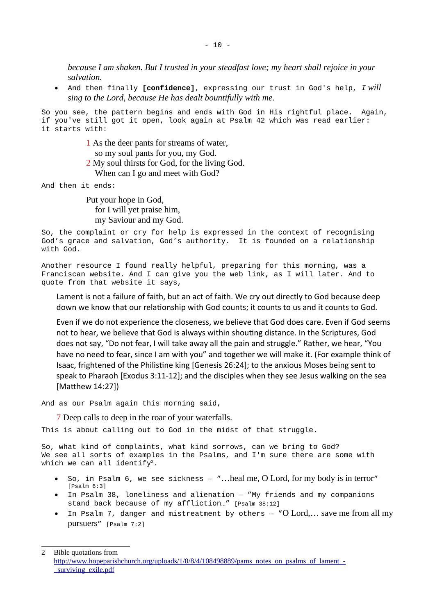*because I am shaken. But I trusted in your steadfast love; my heart shall rejoice in your salvation.*

 And then finally **[confidence]**, expressing our trust in God's help, *I will sing to the Lord, because He has dealt bountifully with me.*

So you see, the pattern begins and ends with God in His rightful place. Again, if you've still got it open, look again at Psalm 42 which was read earlier: it starts with:

- 1 As the deer pants for streams of water,
	- so my soul pants for you, my God.
- 2 My soul thirsts for God, for the living God. When can I go and meet with God?

And then it ends:

Put your hope in God, for I will yet praise him, my Saviour and my God.

So, the complaint or cry for help is expressed in the context of recognising God's grace and salvation, God's authority. It is founded on a relationship with God.

Another resource I found really helpful, preparing for this morning, was a Franciscan website. And I can give you the web link, as I will later. And to quote from that website it says,

Lament is not a failure of faith, but an act of faith. We cry out directly to God because deep down we know that our relationship with God counts; it counts to us and it counts to God.

Even if we do not experience the closeness, we believe that God does care. Even if God seems not to hear, we believe that God is always within shouting distance. In the Scriptures, God does not say, "Do not fear, I will take away all the pain and struggle." Rather, we hear, "You have no need to fear, since I am with you" and together we will make it. (For example think of Isaac, frightened of the Philistine king [Genesis 26:24]; to the anxious Moses being sent to speak to Pharaoh [Exodus 3:11-12]; and the disciples when they see Jesus walking on the sea [Matthew 14:27])

And as our Psalm again this morning said,

7 Deep calls to deep in the roar of your waterfalls.

This is about calling out to God in the midst of that struggle.

So, what kind of complaints, what kind sorrows, can we bring to God? We see all sorts of examples in the Psalms, and I'm sure there are some with which we can all identify<sup>[2](#page-9-0)</sup>.

- So, in Psalm 6, we see sickness "…heal me, O Lord, for my body is in terror" [Psalm 6:3]
- In Psalm 38, loneliness and alienation "My friends and my companions stand back because of my affliction…" [Psalm 38:12]
- In Psalm 7, danger and mistreatment by others "O Lord,… save me from all my pursuers" [Psalm 7:2]

<span id="page-9-0"></span>2 Bible quotations from [http://www.hopeparishchurch.org/uploads/1/0/8/4/108498889/pams\\_notes\\_on\\_psalms\\_of\\_lament\\_-](http://www.hopeparishchurch.org/uploads/1/0/8/4/108498889/pams_notes_on_psalms_of_lament_-_surviving_exile.pdf) [\\_surviving\\_exile.pdf](http://www.hopeparishchurch.org/uploads/1/0/8/4/108498889/pams_notes_on_psalms_of_lament_-_surviving_exile.pdf)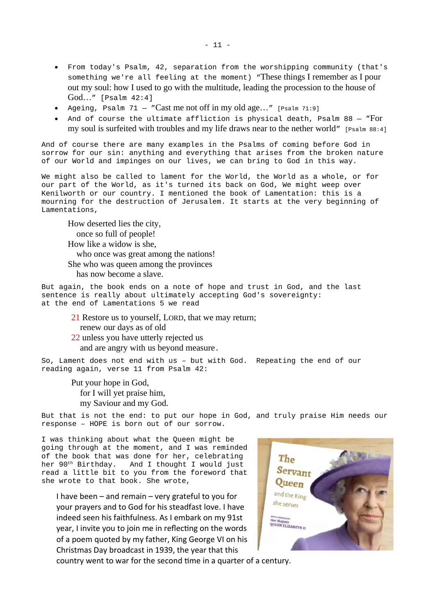- From today's Psalm, 42, separation from the worshipping community (that's something we're all feeling at the moment) "These things I remember as I pour out my soul: how I used to go with the multitude, leading the procession to the house of God…" [Psalm 42:4]
- Ageing, Psalm  $71 -$  "Cast me not off in my old age..." [Psalm 71:9]
- And of course the ultimate affliction is physical death, Psalm 88 "For my soul is surfeited with troubles and my life draws near to the nether world" [Psalm 88:4]

And of course there are many examples in the Psalms of coming before God in sorrow for our sin: anything and everything that arises from the broken nature of our World and impinges on our lives, we can bring to God in this way.

We might also be called to lament for the World, the World as a whole, or for our part of the World, as it's turned its back on God, We might weep over Kenilworth or our country. I mentioned the book of Lamentation: this is a mourning for the destruction of Jerusalem. It starts at the very beginning of Lamentations,

How deserted lies the city, once so full of people! How like a widow is she, who once was great among the nations! She who was queen among the provinces has now become a slave.

But again, the book ends on a note of hope and trust in God, and the last sentence is really about ultimately accepting God's sovereignty: at the end of Lamentations 5 we read

21 Restore us to yourself, LORD, that we may return; renew our days as of old 22 unless you have utterly rejected us and are angry with us beyond measure.

So, Lament does not end with us – but with God. Repeating the end of our reading again, verse 11 from Psalm 42:

Put your hope in God, for I will yet praise him, my Saviour and my God.

But that is not the end: to put our hope in God, and truly praise Him needs our response – HOPE is born out of our sorrow.

I was thinking about what the Queen might be going through at the moment, and I was reminded of the book that was done for her, celebrating<br>her 90<sup>th</sup> Birthday. And I thought I would just And I thought I would just read a little bit to you from the foreword that she wrote to that book. She wrote,

I have been – and remain – very grateful to you for your prayers and to God for his steadfast love. I have indeed seen his faithfulness. As I embark on my 91st year, I invite you to join me in reflecting on the words of a poem quoted by my father, King George VI on his Christmas Day broadcast in 1939, the year that this



country went to war for the second time in a quarter of a century.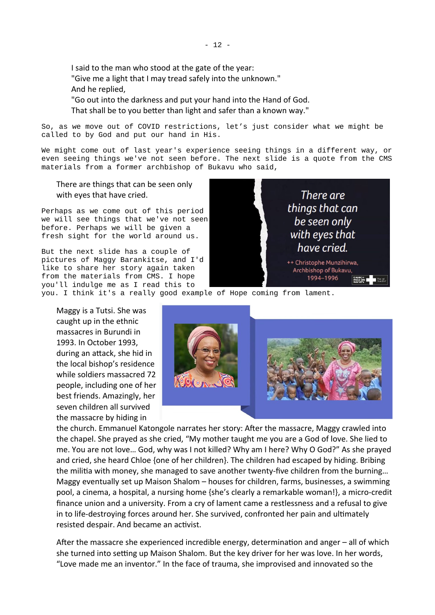I said to the man who stood at the gate of the year: "Give me a light that I may tread safely into the unknown." And he replied,

"Go out into the darkness and put your hand into the Hand of God. That shall be to you better than light and safer than a known way."

So, as we move out of COVID restrictions, let's just consider what we might be called to by God and put our hand in His.

We might come out of last year's experience seeing things in a different way, or even seeing things we've not seen before. The next slide is a quote from the CMS materials from a former archbishop of Bukavu who said,

There are things that can be seen only with eyes that have cried.

Perhaps as we come out of this period we will see things that we've not seen before. Perhaps we will be given a fresh sight for the world around us.

But the next slide has a couple of pictures of Maggy Barankitse, and I'd like to share her story again taken from the materials from CMS. I hope you'll indulge me as I read this to



you. I think it's a really good example of Hope coming from lament.

Maggy is a Tutsi. She was caught up in the ethnic massacres in Burundi in 1993. In October 1993, during an attack, she hid in the local bishop's residence while soldiers massacred 72 people, including one of her best friends. Amazingly, her seven children all survived the massacre by hiding in



the church. Emmanuel Katongole narrates her story: After the massacre, Maggy crawled into the chapel. She prayed as she cried, "My mother taught me you are a God of love. She lied to me. You are not love… God, why was I not killed? Why am I here? Why O God?" As she prayed and cried, she heard Chloe {one of her children}. The children had escaped by hiding. Bribing the militia with money, she managed to save another twenty-five children from the burning… Maggy eventually set up Maison Shalom – houses for children, farms, businesses, a swimming pool, a cinema, a hospital, a nursing home {she's clearly a remarkable woman!}, a micro-credit finance union and a university. From a cry of lament came a restlessness and a refusal to give in to life-destroying forces around her. She survived, confronted her pain and ultimately resisted despair. And became an activist.

After the massacre she experienced incredible energy, determination and anger – all of which she turned into setting up Maison Shalom. But the key driver for her was love. In her words, "Love made me an inventor." In the face of trauma, she improvised and innovated so the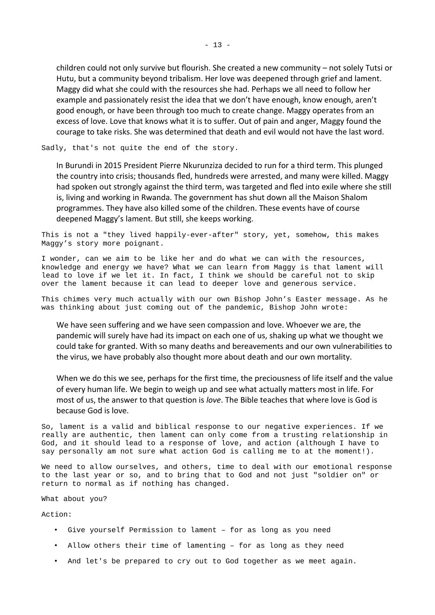children could not only survive but flourish. She created a new community – not solely Tutsi or Hutu, but a community beyond tribalism. Her love was deepened through grief and lament. Maggy did what she could with the resources she had. Perhaps we all need to follow her example and passionately resist the idea that we don't have enough, know enough, aren't good enough, or have been through too much to create change. Maggy operates from an excess of love. Love that knows what it is to suffer. Out of pain and anger, Maggy found the courage to take risks. She was determined that death and evil would not have the last word.

Sadly, that's not quite the end of the story.

In Burundi in 2015 President Pierre Nkurunziza decided to run for a third term. This plunged the country into crisis; thousands fled, hundreds were arrested, and many were killed. Maggy had spoken out strongly against the third term, was targeted and fled into exile where she still is, living and working in Rwanda. The government has shut down all the Maison Shalom programmes. They have also killed some of the children. These events have of course deepened Maggy's lament. But still, she keeps working.

This is not a "they lived happily-ever-after" story, yet, somehow, this makes Maggy's story more poignant.

I wonder, can we aim to be like her and do what we can with the resources, knowledge and energy we have? What we can learn from Maggy is that lament will lead to love if we let it. In fact, I think we should be careful not to skip over the lament because it can lead to deeper love and generous service.

This chimes very much actually with our own Bishop John's Easter message. As he was thinking about just coming out of the pandemic, Bishop John wrote:

We have seen suffering and we have seen compassion and love. Whoever we are, the pandemic will surely have had its impact on each one of us, shaking up what we thought we could take for granted. With so many deaths and bereavements and our own vulnerabilities to the virus, we have probably also thought more about death and our own mortality.

When we do this we see, perhaps for the first time, the preciousness of life itself and the value of every human life. We begin to weigh up and see what actually matters most in life. For most of us, the answer to that question is *love*. The Bible teaches that where love is God is because God is love.

So, lament is a valid and biblical response to our negative experiences. If we really are authentic, then lament can only come from a trusting relationship in God, and it should lead to a response of love, and action (although I have to say personally am not sure what action God is calling me to at the moment!).

We need to allow ourselves, and others, time to deal with our emotional response to the last year or so, and to bring that to God and not just "soldier on" or return to normal as if nothing has changed.

What about you?

Action:

- Give yourself Permission to lament for as long as you need
- Allow others their time of lamenting for as long as they need
- And let's be prepared to cry out to God together as we meet again.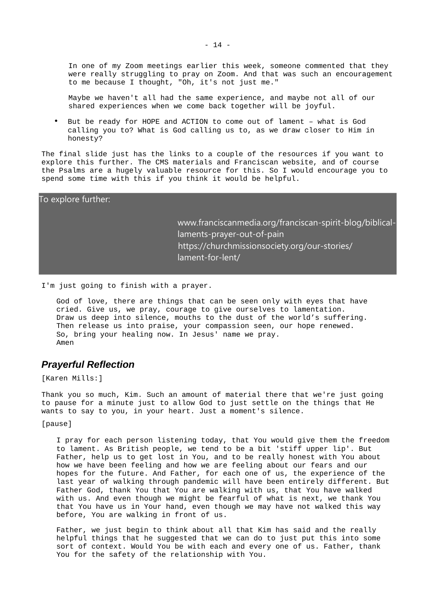In one of my Zoom meetings earlier this week, someone commented that they were really struggling to pray on Zoom. And that was such an encouragement to me because I thought, "Oh, it's not just me."

Maybe we haven't all had the same experience, and maybe not all of our shared experiences when we come back together will be joyful.

• But be ready for HOPE and ACTION to come out of lament – what is God calling you to? What is God calling us to, as we draw closer to Him in honesty?

The final slide just has the links to a couple of the resources if you want to explore this further. The CMS materials and Franciscan website, and of course the Psalms are a hugely valuable resource for this. So I would encourage you to spend some time with this if you think it would be helpful.

| To explore further: |                                                                                                                                                             |
|---------------------|-------------------------------------------------------------------------------------------------------------------------------------------------------------|
|                     | www.franciscanmedia.org/franciscan-spirit-blog/biblical-<br>laments-prayer-out-of-pain<br>https://churchmissionsociety.org/our-stories/<br>lament-for-lent/ |

I'm just going to finish with a prayer.

God of love, there are things that can be seen only with eyes that have cried. Give us, we pray, courage to give ourselves to lamentation. Draw us deep into silence, mouths to the dust of the world's suffering. Then release us into praise, your compassion seen, our hope renewed. So, bring your healing now. In Jesus' name we pray. Amen

### <span id="page-13-0"></span>*Prayerful Reflection*

[Karen Mills:]

Thank you so much, Kim. Such an amount of material there that we're just going to pause for a minute just to allow God to just settle on the things that He wants to say to you, in your heart. Just a moment's silence.

[pause]

I pray for each person listening today, that You would give them the freedom to lament. As British people, we tend to be a bit 'stiff upper lip'. But Father, help us to get lost in You, and to be really honest with You about how we have been feeling and how we are feeling about our fears and our hopes for the future. And Father, for each one of us, the experience of the last year of walking through pandemic will have been entirely different. But Father God, thank You that You are walking with us, that You have walked with us. And even though we might be fearful of what is next, we thank You that You have us in Your hand, even though we may have not walked this way before, You are walking in front of us.

Father, we just begin to think about all that Kim has said and the really helpful things that he suggested that we can do to just put this into some sort of context. Would You be with each and every one of us. Father, thank You for the safety of the relationship with You.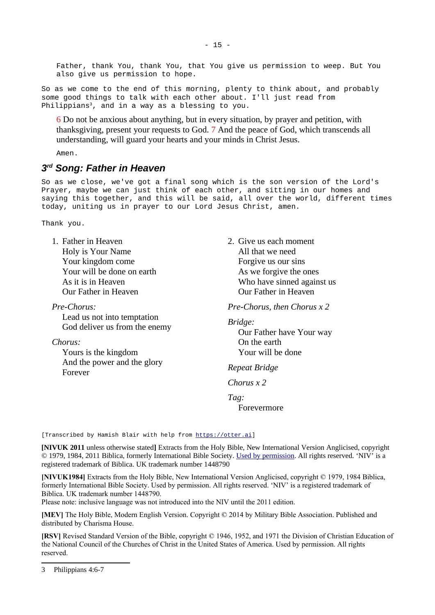Father, thank You, thank You, that You give us permission to weep. But You also give us permission to hope.

So as we come to the end of this morning, plenty to think about, and probably some good things to talk with each other about. I'll just read from Philippians<sup>[3](#page-14-1)</sup>, and in a way as a blessing to you.

6 Do not be anxious about anything, but in every situation, by prayer and petition, with thanksgiving, present your requests to God. 7 And the peace of God, which transcends all understanding, will guard your hearts and your minds in Christ Jesus.

Amen.

## <span id="page-14-0"></span>*3 rd Song: Father in Heaven*

So as we close, we've got a final song which is the son version of the Lord's Prayer, maybe we can just think of each other, and sitting in our homes and saying this together, and this will be said, all over the world, different times today, uniting us in prayer to our Lord Jesus Christ, amen.

Thank you.

| 1. Father in Heaven           | 2. Give          |
|-------------------------------|------------------|
| Holy is Your Name             | All t            |
| Your kingdom come             | Forg             |
| Your will be done on earth    | As w             |
| As it is in Heaven            | Who              |
| Our Father in Heaven          | Our <sup>-</sup> |
| Pre-Chorus:                   | Pre-Ch           |
| I and us wat juta tawartation |                  |

Lead us not into temptation God deliver us from the enemy

*Chorus:*

Yours is the kingdom And the power and the glory Forever

e us each moment that we need  $five$  us our sins ve forgive the ones b have sinned against us Father in Heaven

*Pre-Chorus, then Chorus x 2*

*Bridge:*

Our Father have Your way On the earth Your will be done

*Repeat Bridge*

*Chorus x 2*

*Tag:*

Forevermore

[Transcribed by Hamish Blair with help from [https://otter.ai\]](https://otter.ai/)

**[NIVUK 2011** unless otherwise stated**]** Extracts from the Holy Bible, New International Version Anglicised, copyright © 1979, 1984, 2011 Biblica, formerly International Bible Society. [Used by permission](https://www.biblica.com/terms-of-use/). All rights reserved. 'NIV' is a registered trademark of Biblica. UK trademark number 1448790

**[NIVUK1984]** Extracts from the Holy Bible, New International Version Anglicised, copyright © 1979, 1984 Biblica, formerly International Bible Society. Used by permission. All rights reserved. 'NIV' is a registered trademark of Biblica. UK trademark number 1448790.

Please note: inclusive language was not introduced into the NIV until the 2011 edition.

**[MEV]** The Holy Bible, Modern English Version. Copyright © 2014 by Military Bible Association. Published and distributed by Charisma House.

**[RSV]** Revised Standard Version of the Bible, copyright © 1946, 1952, and 1971 the Division of Christian Education of the National Council of the Churches of Christ in the United States of America. Used by permission. All rights reserved.

<span id="page-14-1"></span><sup>3</sup> Philippians 4:6-7